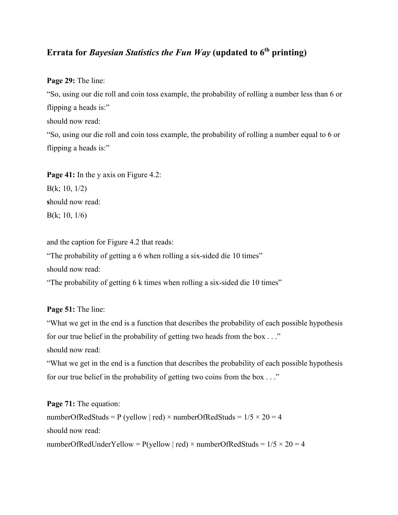## **Errata for** *Bayesian Statistics the Fun Way* **(updated to 6th printing)**

**Page 29:** The line:

"So, using our die roll and coin toss example, the probability of rolling a number less than 6 or flipping a heads is:" should now read: "So, using our die roll and coin toss example, the probability of rolling a number equal to 6 or flipping a heads is:"

**Page 41:** In the y axis on Figure 4.2: B(k; 10, 1/2) **s**hould now read: B(k; 10, 1/6)

and the caption for Figure 4.2 that reads:

"The probability of getting a 6 when rolling a six-sided die 10 times"

should now read:

"The probability of getting 6 k times when rolling a six-sided die 10 times"

**Page 51:** The line:

"What we get in the end is a function that describes the probability of each possible hypothesis for our true belief in the probability of getting two heads from the box . . ."

should now read:

"What we get in the end is a function that describes the probability of each possible hypothesis for our true belief in the probability of getting two coins from the box . . ."

**Page 71:** The equation: numberOfRedStuds = P (yellow | red) × numberOfRedStuds =  $1/5 \times 20 = 4$ should now read: numberOfRedUnderYellow = P(yellow | red) × numberOfRedStuds =  $1/5 \times 20 = 4$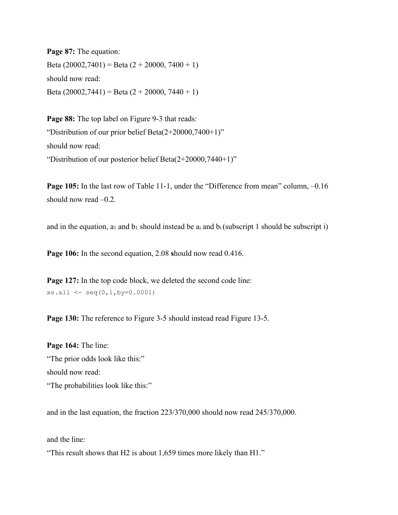**Page 87:** The equation: Beta  $(20002,7401)$  = Beta  $(2 + 20000, 7400 + 1)$ should now read: Beta  $(20002,7441)$  = Beta  $(2 + 20000, 7440 + 1)$ 

Page 88: The top label on Figure 9-3 that reads: "Distribution of our prior belief Beta $(2+20000,7400+1)$ " should now read: "Distribution of our posterior belief Beta(2+20000,7440+1)"

**Page 105:** In the last row of Table 11-1, under the "Difference from mean" column,  $-0.16$ should now read –0.2.

and in the equation,  $a_1$  and  $b_1$  should instead be  $a_i$  and  $b_i$  (subscript 1 should be subscript i)

**Page 106:** In the second equation, 2.08 **s**hould now read 0.416.

**Page 127:** In the top code block, we deleted the second code line:  $xs.all < -seq(0, 1, by=0.0001)$ 

Page 130: The reference to Figure 3-5 should instead read Figure 13-5.

**Page 164:** The line: "The prior odds look like this:" should now read: "The probabilities look like this:"

and in the last equation, the fraction 223/370,000 should now read 245/370,000.

and the line:

"This result shows that H2 is about 1,659 times more likely than H1."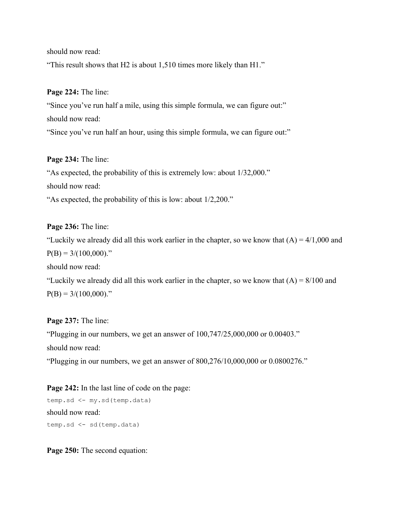should now read:

"This result shows that H2 is about 1,510 times more likely than H1."

**Page 224:** The line:

"Since you've run half a mile, using this simple formula, we can figure out:" should now read: "Since you've run half an hour, using this simple formula, we can figure out:"

**Page 234:** The line:

"As expected, the probability of this is extremely low: about 1/32,000." should now read:

"As expected, the probability of this is low: about 1/2,200."

**Page 236:** The line:

"Luckily we already did all this work earlier in the chapter, so we know that  $(A) = 4/1,000$  and  $P(B) = 3/(100,000)$ ."

should now read:

"Luckily we already did all this work earlier in the chapter, so we know that  $(A) = 8/100$  and  $P(B) = 3/(100,000)$ ."

**Page 237:** The line: "Plugging in our numbers, we get an answer of 100,747/25,000,000 or 0.00403." should now read:

"Plugging in our numbers, we get an answer of 800,276/10,000,000 or 0.0800276."

**Page 242:** In the last line of code on the page: temp.sd <- my.sd(temp.data) should now read: temp.sd <- sd(temp.data)

**Page 250:** The second equation: